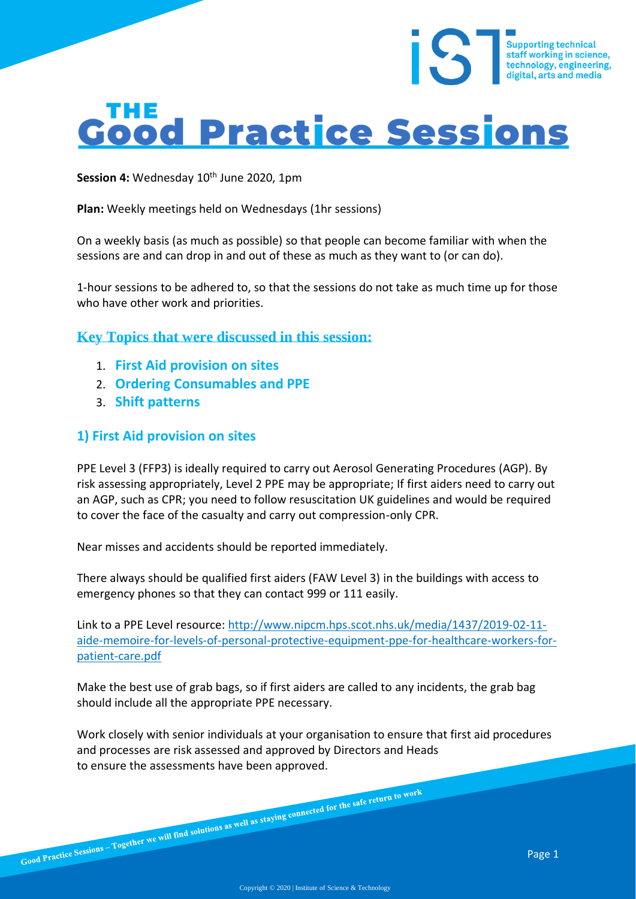# **Good Practice Sessions**

Session 4: Wednesday 10<sup>th</sup> June 2020, 1pm

**Plan:** Weekly meetings held on Wednesdays (1hr sessions)

On a weekly basis (as much as possible) so that people can become familiar with when the sessions are and can drop in and out of these as much as they want to (or can do).

1-hour sessions to be adhered to, so that the sessions do not take as much time up for those who have other work and priorities.

**Key Topics that were discussed in this session:**

- 1. **First Aid provision on sites**
- 2. **Ordering Consumables and PPE**
- 3. **Shift patterns**

### **1) First Aid provision on sites**

PPE Level 3 (FFP3) is ideally required to carry out Aerosol Generating Procedures (AGP). By risk assessing appropriately, Level 2 PPE may be appropriate; If first aiders need to carry out an AGP, such as CPR; you need to follow resuscitation UK guidelines and would be required to cover the face of the casualty and carry out compression-only CPR.

Near misses and accidents should be reported immediately.

There always should be qualified first aiders (FAW Level 3) in the buildings with access to emergency phones so that they can contact 999 or 111 easily.

Link to a PPE Level resource: [http://www.nipcm.hps.scot.nhs.uk/media/1437/2019-02-11](http://www.nipcm.hps.scot.nhs.uk/media/1437/2019-02-11-aide-memoire-for-levels-of-personal-protective-equipment-ppe-for-healthcare-workers-for-patient-care.pdf) [aide-memoire-for-levels-of-personal-protective-equipment-ppe-for-healthcare-workers-for](http://www.nipcm.hps.scot.nhs.uk/media/1437/2019-02-11-aide-memoire-for-levels-of-personal-protective-equipment-ppe-for-healthcare-workers-for-patient-care.pdf)[patient-care.pdf](http://www.nipcm.hps.scot.nhs.uk/media/1437/2019-02-11-aide-memoire-for-levels-of-personal-protective-equipment-ppe-for-healthcare-workers-for-patient-care.pdf)

Make the best use of grab bags, so if first aiders are called to any incidents, the grab bag should include all the appropriate PPE necessary.

Work closely with senior individuals at your organisation to ensure that first aid procedures and processes are risk assessed and approved by Directors and Heads to ensure the assessments have been approved.

Supporting technical<br>staff working in science,<br>technology, engineering,<br>digital, arts and media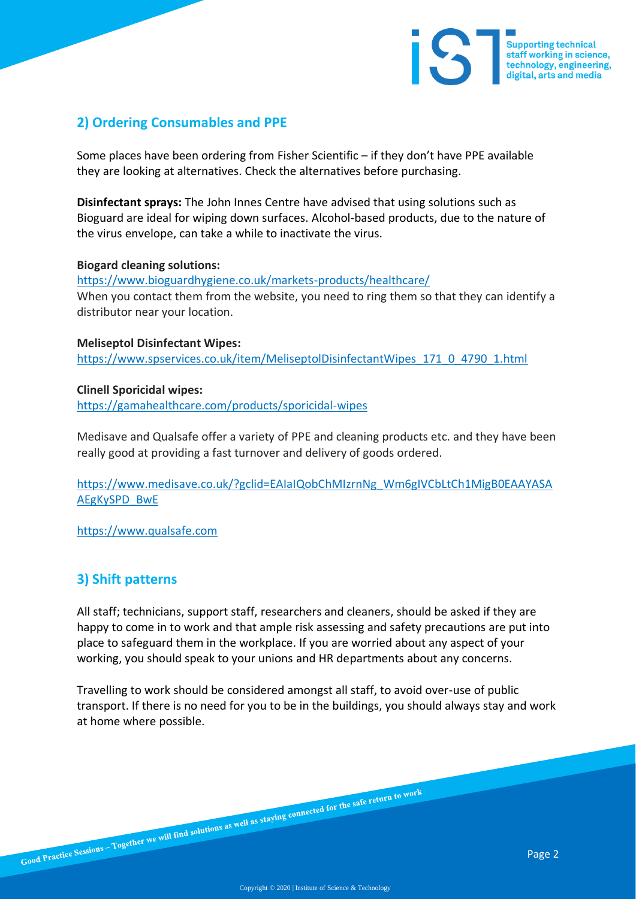

## **2) Ordering Consumables and PPE**

Some places have been ordering from Fisher Scientific – if they don't have PPE available they are looking at alternatives. Check the alternatives before purchasing.

**Disinfectant sprays:** The John Innes Centre have advised that using solutions such as Bioguard are ideal for wiping down surfaces. Alcohol-based products, due to the nature of the virus envelope, can take a while to inactivate the virus.

#### **Biogard cleaning solutions:**

<https://www.bioguardhygiene.co.uk/markets-products/healthcare/> When you contact them from the website, you need to ring them so that they can identify a distributor near your location.

**Meliseptol Disinfectant Wipes:** [https://www.spservices.co.uk/item/MeliseptolDisinfectantWipes\\_171\\_0\\_4790\\_1.html](https://www.spservices.co.uk/item/MeliseptolDisinfectantWipes_171_0_4790_1.html)

#### **Clinell Sporicidal wipes:**

<https://gamahealthcare.com/products/sporicidal-wipes>

Medisave and Qualsafe offer a variety of PPE and cleaning products etc. and they have been really good at providing a fast turnover and delivery of goods ordered.

[https://www.medisave.co.uk/?gclid=EAIaIQobChMIzrnNg\\_Wm6gIVCbLtCh1MigB0EAAYASA](https://www.medisave.co.uk/?gclid=EAIaIQobChMIzrnNg_Wm6gIVCbLtCh1MigB0EAAYASAAEgKySPD_BwE) [AEgKySPD\\_BwE](https://www.medisave.co.uk/?gclid=EAIaIQobChMIzrnNg_Wm6gIVCbLtCh1MigB0EAAYASAAEgKySPD_BwE)

[https://www.qualsafe.com](https://www.qualsafe.com/)

## **3) Shift patterns**

All staff; technicians, support staff, researchers and cleaners, should be asked if they are happy to come in to work and that ample risk assessing and safety precautions are put into place to safeguard them in the workplace. If you are worried about any aspect of your working, you should speak to your unions and HR departments about any concerns.

Travelling to work should be considered amongst all staff, to avoid over-use of public transport. If there is no need for you to be in the buildings, you should always stay and work at home where possible.